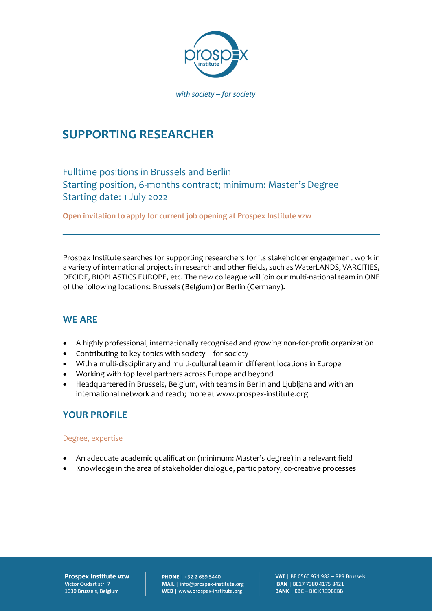

# **SUPPORTING RESEARCHER**

Fulltime positions in Brussels and Berlin Starting position, 6-months contract; minimum: Master's Degree Starting date: 1 July 2022

**Open invitation to apply for current job opening at Prospex Institute vzw** 

Prospex Institute searches for supporting researchers for its stakeholder engagement work in a variety of international projects in research and other fields, such as WaterLANDS, VARCITIES, DECIDE, BIOPLASTICS EUROPE, etc. The new colleague will join our multi-national team in ONE of the following locations: Brussels (Belgium) or Berlin (Germany).

### **WE ARE**

- A highly professional, internationally recognised and growing non-for-profit organization
- Contributing to key topics with society for society
- With a multi-disciplinary and multi-cultural team in different locations in Europe
- Working with top level partners across Europe and beyond
- Headquartered in Brussels, Belgium, with teams in Berlin and Ljubljana and with an international network and reach; more at www.prospex-institute.org

### **YOUR PROFILE**

#### Degree, expertise

- An adequate academic qualification (minimum: Master's degree) in a relevant field
- Knowledge in the area of stakeholder dialogue, participatory, co-creative processes

**Prospex Institute vzw** Victor Oudart str. 7 1030 Brussels, Belgium

**PHONE** | +32 2 669 5440 MAIL | info@prospex-institute.org WEB | www.prospex-institute.org

VAT | BE 0560 971 982 - RPR Brussels IBAN | BE17 7380 4175 8421 **BANK | KBC - BIC KREDBEBB**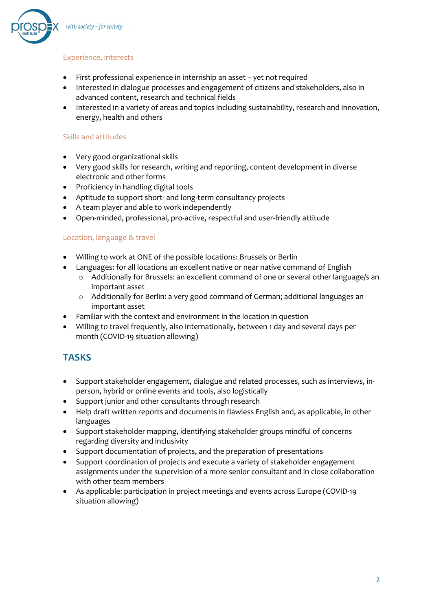

#### Experience, interests

- First professional experience in internship an asset yet not required
- Interested in dialogue processes and engagement of citizens and stakeholders, also in advanced content, research and technical fields
- Interested in a variety of areas and topics including sustainability, research and innovation, energy, health and others

#### Skills and attitudes

- Very good organizational skills
- Very good skills for research, writing and reporting, content development in diverse electronic and other forms
- Proficiency in handling digital tools
- Aptitude to support short- and long-term consultancy projects
- A team player and able to work independently
- Open-minded, professional, pro-active, respectful and user-friendly attitude

#### Location, language & travel

- Willing to work at ONE of the possible locations: Brussels or Berlin
- Languages: for all locations an excellent native or near native command of English
	- o Additionally for Brussels: an excellent command of one or several other language/s an important asset
	- o Additionally for Berlin: a very good command of German; additional languages an important asset
- Familiar with the context and environment in the location in question
- Willing to travel frequently, also internationally, between 1 day and several days per month (COVID-19 situation allowing)

### **TASKS**

- Support stakeholder engagement, dialogue and related processes, such as interviews, inperson, hybrid or online events and tools, also logistically
- Support junior and other consultants through research
- Help draft written reports and documents in flawless English and, as applicable, in other languages
- Support stakeholder mapping, identifying stakeholder groups mindful of concerns regarding diversity and inclusivity
- Support documentation of projects, and the preparation of presentations
- Support coordination of projects and execute a variety of stakeholder engagement assignments under the supervision of a more senior consultant and in close collaboration with other team members
- As applicable: participation in project meetings and events across Europe (COVID-19 situation allowing)